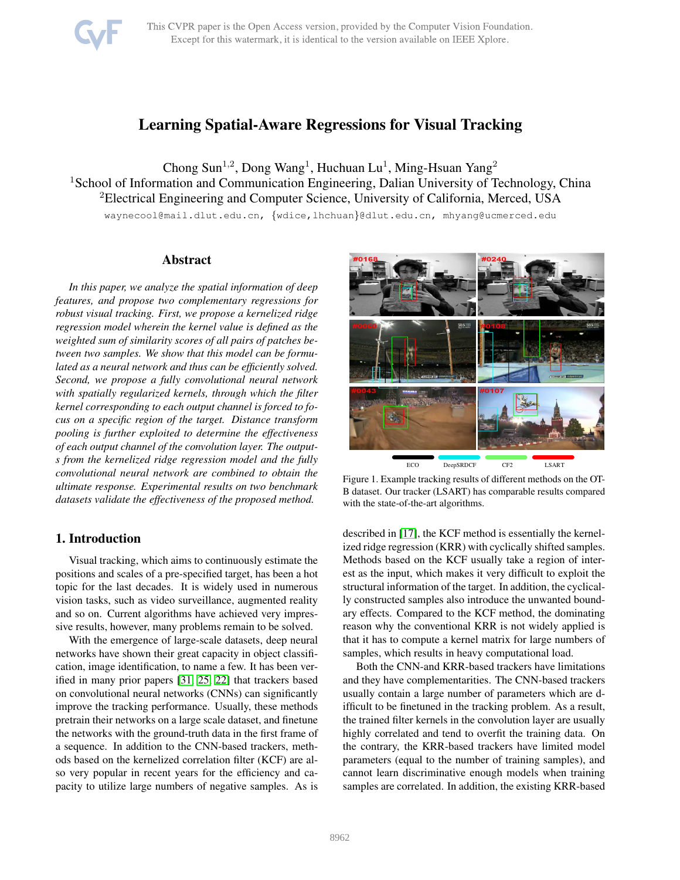# Learning Spatial-Aware Regressions for Visual Tracking

Chong Sun<sup>1,2</sup>, Dong Wang<sup>1</sup>, Huchuan Lu<sup>1</sup>, Ming-Hsuan Yang<sup>2</sup> <sup>1</sup> School of Information and Communication Engineering, Dalian University of Technology, China <sup>2</sup>Electrical Engineering and Computer Science, University of California, Merced, USA waynecool@mail.dlut.edu.cn, {wdice,lhchuan}@dlut.edu.cn, mhyang@ucmerced.edu

# Abstract

*In this paper, we analyze the spatial information of deep features, and propose two complementary regressions for robust visual tracking. First, we propose a kernelized ridge regression model wherein the kernel value is defined as the weighted sum of similarity scores of all pairs of patches between two samples. We show that this model can be formulated as a neural network and thus can be efficiently solved. Second, we propose a fully convolutional neural network with spatially regularized kernels, through which the filter kernel corresponding to each output channel is forced to focus on a specific region of the target. Distance transform pooling is further exploited to determine the effectiveness of each output channel of the convolution layer. The outputs from the kernelized ridge regression model and the fully convolutional neural network are combined to obtain the ultimate response. Experimental results on two benchmark datasets validate the effectiveness of the proposed method.*

# 1. Introduction

Visual tracking, which aims to continuously estimate the positions and scales of a pre-specified target, has been a hot topic for the last decades. It is widely used in numerous vision tasks, such as video surveillance, augmented reality and so on. Current algorithms have achieved very impressive results, however, many problems remain to be solved.

With the emergence of large-scale datasets, deep neural networks have shown their great capacity in object classification, image identification, to name a few. It has been verified in many prior papers [\[31,](#page-8-0) [25,](#page-8-1) [22\]](#page-8-2) that trackers based on convolutional neural networks (CNNs) can significantly improve the tracking performance. Usually, these methods pretrain their networks on a large scale dataset, and finetune the networks with the ground-truth data in the first frame of a sequence. In addition to the CNN-based trackers, methods based on the kernelized correlation filter (KCF) are also very popular in recent years for the efficiency and capacity to utilize large numbers of negative samples. As is



<span id="page-0-0"></span>Figure 1. Example tracking results of different methods on the OT-B dataset. Our tracker (LSART) has comparable results compared with the state-of-the-art algorithms.

described in [\[17\]](#page-8-3), the KCF method is essentially the kernelized ridge regression (KRR) with cyclically shifted samples. Methods based on the KCF usually take a region of interest as the input, which makes it very difficult to exploit the structural information of the target. In addition, the cyclically constructed samples also introduce the unwanted boundary effects. Compared to the KCF method, the dominating reason why the conventional KRR is not widely applied is that it has to compute a kernel matrix for large numbers of samples, which results in heavy computational load.

Both the CNN-and KRR-based trackers have limitations and they have complementarities. The CNN-based trackers usually contain a large number of parameters which are difficult to be finetuned in the tracking problem. As a result, the trained filter kernels in the convolution layer are usually highly correlated and tend to overfit the training data. On the contrary, the KRR-based trackers have limited model parameters (equal to the number of training samples), and cannot learn discriminative enough models when training samples are correlated. In addition, the existing KRR-based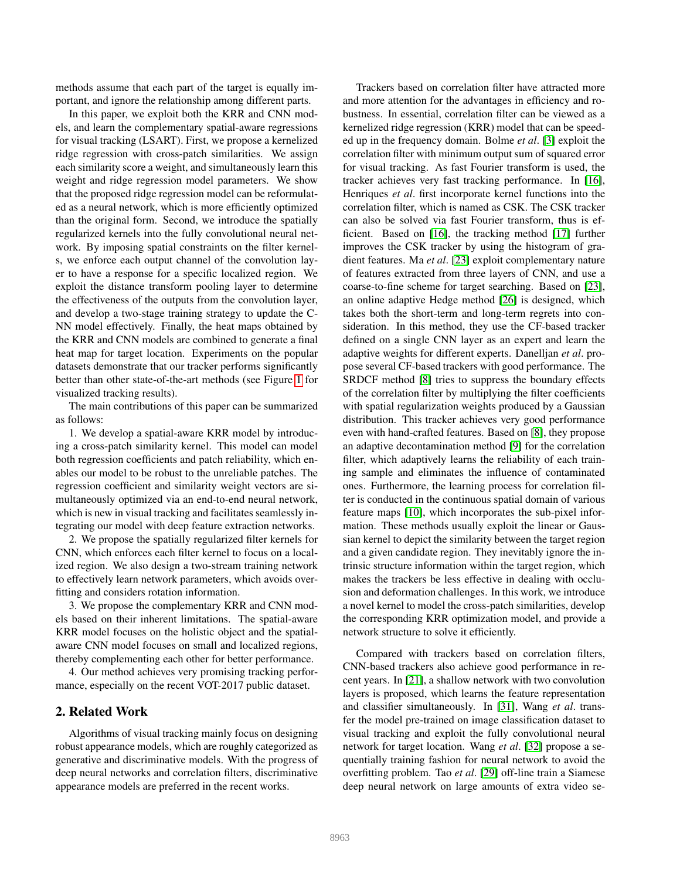methods assume that each part of the target is equally important, and ignore the relationship among different parts.

In this paper, we exploit both the KRR and CNN models, and learn the complementary spatial-aware regressions for visual tracking (LSART). First, we propose a kernelized ridge regression with cross-patch similarities. We assign each similarity score a weight, and simultaneously learn this weight and ridge regression model parameters. We show that the proposed ridge regression model can be reformulated as a neural network, which is more efficiently optimized than the original form. Second, we introduce the spatially regularized kernels into the fully convolutional neural network. By imposing spatial constraints on the filter kernels, we enforce each output channel of the convolution layer to have a response for a specific localized region. We exploit the distance transform pooling layer to determine the effectiveness of the outputs from the convolution layer, and develop a two-stage training strategy to update the C-NN model effectively. Finally, the heat maps obtained by the KRR and CNN models are combined to generate a final heat map for target location. Experiments on the popular datasets demonstrate that our tracker performs significantly better than other state-of-the-art methods (see Figure [1](#page-0-0) for visualized tracking results).

The main contributions of this paper can be summarized as follows:

1. We develop a spatial-aware KRR model by introducing a cross-patch similarity kernel. This model can model both regression coefficients and patch reliability, which enables our model to be robust to the unreliable patches. The regression coefficient and similarity weight vectors are simultaneously optimized via an end-to-end neural network, which is new in visual tracking and facilitates seamlessly integrating our model with deep feature extraction networks.

2. We propose the spatially regularized filter kernels for CNN, which enforces each filter kernel to focus on a localized region. We also design a two-stream training network to effectively learn network parameters, which avoids overfitting and considers rotation information.

3. We propose the complementary KRR and CNN models based on their inherent limitations. The spatial-aware KRR model focuses on the holistic object and the spatialaware CNN model focuses on small and localized regions, thereby complementing each other for better performance.

4. Our method achieves very promising tracking performance, especially on the recent VOT-2017 public dataset.

# 2. Related Work

Algorithms of visual tracking mainly focus on designing robust appearance models, which are roughly categorized as generative and discriminative models. With the progress of deep neural networks and correlation filters, discriminative appearance models are preferred in the recent works.

Trackers based on correlation filter have attracted more and more attention for the advantages in efficiency and robustness. In essential, correlation filter can be viewed as a kernelized ridge regression (KRR) model that can be speeded up in the frequency domain. Bolme *et al*. [\[3\]](#page-8-4) exploit the correlation filter with minimum output sum of squared error for visual tracking. As fast Fourier transform is used, the tracker achieves very fast tracking performance. In [\[16\]](#page-8-5), Henriques *et al*. first incorporate kernel functions into the correlation filter, which is named as CSK. The CSK tracker can also be solved via fast Fourier transform, thus is efficient. Based on [\[16\]](#page-8-5), the tracking method [\[17\]](#page-8-3) further improves the CSK tracker by using the histogram of gradient features. Ma *et al*. [\[23\]](#page-8-6) exploit complementary nature of features extracted from three layers of CNN, and use a coarse-to-fine scheme for target searching. Based on [\[23\]](#page-8-6), an online adaptive Hedge method [\[26\]](#page-8-7) is designed, which takes both the short-term and long-term regrets into consideration. In this method, they use the CF-based tracker defined on a single CNN layer as an expert and learn the adaptive weights for different experts. Danelljan *et al*. propose several CF-based trackers with good performance. The SRDCF method [\[8\]](#page-8-8) tries to suppress the boundary effects of the correlation filter by multiplying the filter coefficients with spatial regularization weights produced by a Gaussian distribution. This tracker achieves very good performance even with hand-crafted features. Based on [\[8\]](#page-8-8), they propose an adaptive decontamination method [\[9\]](#page-8-9) for the correlation filter, which adaptively learns the reliability of each training sample and eliminates the influence of contaminated ones. Furthermore, the learning process for correlation filter is conducted in the continuous spatial domain of various feature maps [\[10\]](#page-8-10), which incorporates the sub-pixel information. These methods usually exploit the linear or Gaussian kernel to depict the similarity between the target region and a given candidate region. They inevitably ignore the intrinsic structure information within the target region, which makes the trackers be less effective in dealing with occlusion and deformation challenges. In this work, we introduce a novel kernel to model the cross-patch similarities, develop the corresponding KRR optimization model, and provide a network structure to solve it efficiently.

Compared with trackers based on correlation filters, CNN-based trackers also achieve good performance in recent years. In [\[21\]](#page-8-11), a shallow network with two convolution layers is proposed, which learns the feature representation and classifier simultaneously. In [\[31\]](#page-8-0), Wang *et al*. transfer the model pre-trained on image classification dataset to visual tracking and exploit the fully convolutional neural network for target location. Wang *et al*. [\[32\]](#page-8-12) propose a sequentially training fashion for neural network to avoid the overfitting problem. Tao *et al*. [\[29\]](#page-8-13) off-line train a Siamese deep neural network on large amounts of extra video se-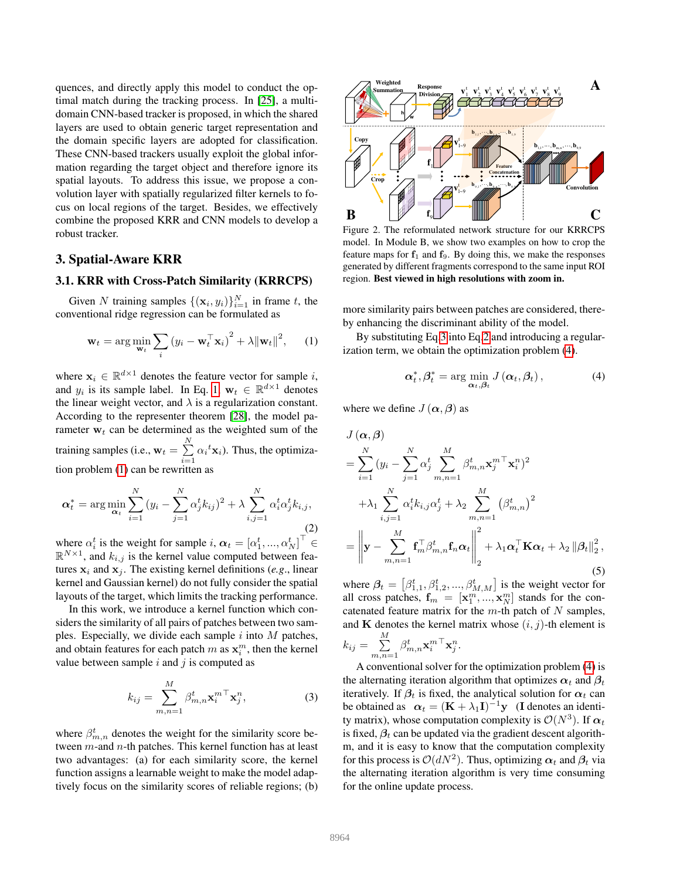quences, and directly apply this model to conduct the optimal match during the tracking process. In [\[25\]](#page-8-1), a multidomain CNN-based tracker is proposed, in which the shared layers are used to obtain generic target representation and the domain specific layers are adopted for classification. These CNN-based trackers usually exploit the global information regarding the target object and therefore ignore its spatial layouts. To address this issue, we propose a convolution layer with spatially regularized filter kernels to focus on local regions of the target. Besides, we effectively combine the proposed KRR and CNN models to develop a robust tracker.

# 3. Spatial-Aware KRR

# 3.1. KRR with Cross-Patch Similarity (KRRCPS)

Given N training samples  $\{(\mathbf{x}_i, y_i)\}_{i=1}^N$  in frame t, the conventional ridge regression can be formulated as

<span id="page-2-0"></span>
$$
\mathbf{w}_t = \arg\min_{\mathbf{w}_t} \sum_i (y_i - \mathbf{w}_t^\top \mathbf{x}_i)^2 + \lambda {\lVert \mathbf{w}_t \rVert}^2, \qquad (1)
$$

where  $\mathbf{x}_i \in \mathbb{R}^{d \times 1}$  denotes the feature vector for sample i, and  $y_i$  is its sample label. In Eq. [1,](#page-2-0)  $\mathbf{w}_t \in \mathbb{R}^{d \times 1}$  denotes the linear weight vector, and  $\lambda$  is a regularization constant. According to the representer theorem [\[28\]](#page-8-14), the model parameter  $w_t$  can be determined as the weighted sum of the training samples (i.e.,  $\mathbf{w}_t = \sum^N$  $\sum_{i=1} \alpha_i^t \mathbf{x}_i$ . Thus, the optimization problem [\(1\)](#page-2-0) can be rewritten as

<span id="page-2-2"></span>
$$
\boldsymbol{\alpha}_t^* = \arg \min_{\boldsymbol{\alpha}_t} \sum_{i=1}^N (y_i - \sum_{j=1}^N \alpha_j^t k_{ij})^2 + \lambda \sum_{i,j=1}^N \alpha_i^t \alpha_j^t k_{i,j},
$$
\n(2)

where  $\alpha_i^t$  is the weight for sample i,  $\alpha_t = [\alpha_1^t, ..., \alpha_N^t]^\top \in$  $\mathbb{R}^{N\times 1}$ , and  $k_{i,j}$  is the kernel value computed between features  $x_i$  and  $x_j$ . The existing kernel definitions (*e.g.*, linear kernel and Gaussian kernel) do not fully consider the spatial layouts of the target, which limits the tracking performance.

In this work, we introduce a kernel function which considers the similarity of all pairs of patches between two samples. Especially, we divide each sample  $i$  into  $M$  patches, and obtain features for each patch  $m$  as  $\mathbf{x}_i^m$ , then the kernel value between sample  $i$  and  $j$  is computed as

<span id="page-2-1"></span>
$$
k_{ij} = \sum_{m,n=1}^{M} \beta_{m,n}^t \mathbf{x}_i^{m \top} \mathbf{x}_j^n, \tag{3}
$$

where  $\beta_{m,n}^t$  denotes the weight for the similarity score between m-and n-th patches. This kernel function has at least two advantages: (a) for each similarity score, the kernel function assigns a learnable weight to make the model adaptively focus on the similarity scores of reliable regions; (b)



<span id="page-2-5"></span>Figure 2. The reformulated network structure for our KRRCPS model. In Module B, we show two examples on how to crop the feature maps for  $f_1$  and  $f_9$ . By doing this, we make the responses generated by different fragments correspond to the same input ROI region. Best viewed in high resolutions with zoom in.

more similarity pairs between patches are considered, thereby enhancing the discriminant ability of the model.

By substituting Eq[.3](#page-2-1) into Eq[.2](#page-2-2) and introducing a regularization term, we obtain the optimization problem [\(4\)](#page-2-3).

<span id="page-2-3"></span>
$$
\boldsymbol{\alpha}^*_t, \boldsymbol{\beta}^*_t = \arg\min_{\boldsymbol{\alpha}_t, \boldsymbol{\beta}_t} J(\boldsymbol{\alpha}_t, \boldsymbol{\beta}_t), \qquad (4)
$$

where we define  $J(\alpha, \beta)$  as

<span id="page-2-4"></span>
$$
J(\boldsymbol{\alpha}, \boldsymbol{\beta})
$$
  
\n
$$
= \sum_{i=1}^{N} (y_i - \sum_{j=1}^{N} \alpha_j^t \sum_{m,n=1}^{M} \beta_{m,n}^t \mathbf{x}_j^{m \top} \mathbf{x}_i^n)^2
$$
  
\n
$$
+ \lambda_1 \sum_{i,j=1}^{N} \alpha_i^t k_{i,j} \alpha_j^t + \lambda_2 \sum_{m,n=1}^{M} (\beta_{m,n}^t)^2
$$
  
\n
$$
= \left\| \mathbf{y} - \sum_{m,n=1}^{M} \mathbf{f}_m^{\top} \beta_{m,n}^t \mathbf{f}_n \boldsymbol{\alpha}_t \right\|_2^2 + \lambda_1 \boldsymbol{\alpha}_t^{\top} \mathbf{K} \boldsymbol{\alpha}_t + \lambda_2 ||\boldsymbol{\beta}_t||_2^2,
$$
  
\n(5)

where  $\beta_t = [\beta_{1,1}^t, \beta_{1,2}^t, ..., \beta_{M,M}^t]$  is the weight vector for all cross patches,  $f_m = [x_1^m, ..., x_N^m]$  stands for the concatenated feature matrix for the  $m$ -th patch of  $N$  samples, and K denotes the kernel matrix whose  $(i, j)$ -th element is  $\sum$ M β t m <sup>⊤</sup>x n .

$$
k_{ij} = \sum_{m,n=1} \beta_{m,n}^{t} \mathbf{x}_{i}^{m} \mathbf{x}_{j}^{n}.
$$
  
A conventional solver for the

optimization problem [\(4\)](#page-2-3) is the alternating iteration algorithm that optimizes  $\alpha_t$  and  $\beta_t$ iteratively. If  $\beta_t$  is fixed, the analytical solution for  $\alpha_t$  can be obtained as  $\alpha_t = (\mathbf{K} + \lambda_1 \mathbf{I})^{-1} \mathbf{y}$  (I denotes an identity matrix), whose computation complexity is  $\mathcal{O}(N^3)$ . If  $\alpha_t$ is fixed,  $\beta_t$  can be updated via the gradient descent algorithm, and it is easy to know that the computation complexity for this process is  $\mathcal{O}(dN^2)$ . Thus, optimizing  $\alpha_t$  and  $\beta_t$  via the alternating iteration algorithm is very time consuming for the online update process.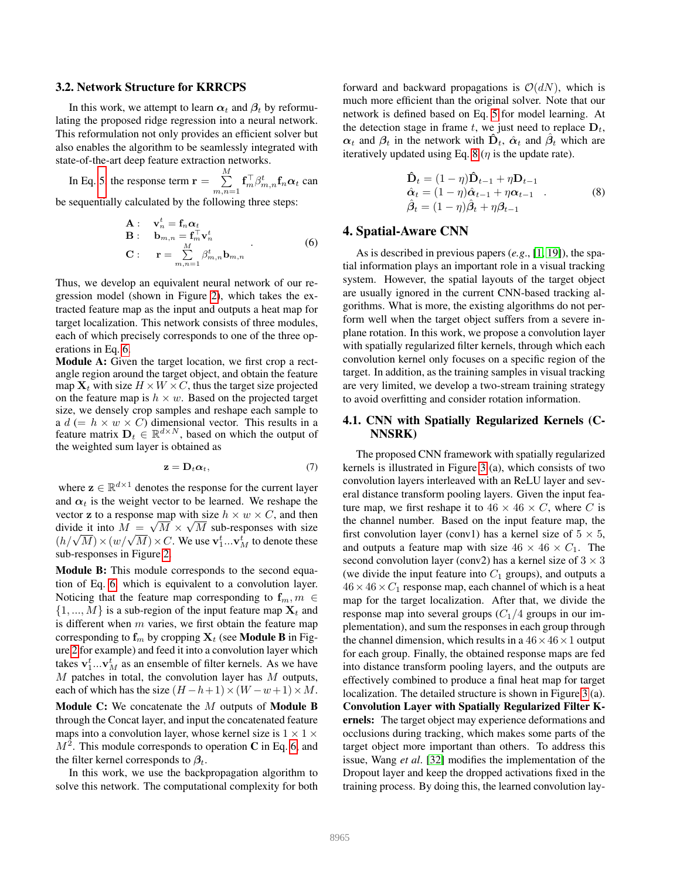#### 3.2. Network Structure for KRRCPS

In this work, we attempt to learn  $\alpha_t$  and  $\beta_t$  by reformulating the proposed ridge regression into a neural network. This reformulation not only provides an efficient solver but also enables the algorithm to be seamlessly integrated with state-of-the-art deep feature extraction networks.

In Eq. [5,](#page-2-4) the response term  $\mathbf{r} = \sum_{i=1}^{M}$  $\sum_{m,n=1}^{\infty} \mathbf{f}_{m}^{\top} \beta_{m,n}^{t} \mathbf{f}_{n} \alpha_{t}$  can

be sequentially calculated by the following three steps:

<span id="page-3-0"></span>
$$
\mathbf{A}: \quad \mathbf{v}_n^t = \mathbf{f}_n \boldsymbol{\alpha}_t \n\mathbf{B}: \quad \mathbf{b}_{m,n} = \mathbf{f}_m^\top \mathbf{v}_n^t \n\mathbf{C}: \quad \mathbf{r} = \sum_{m,n=1}^M \beta_{m,n}^t \mathbf{b}_{m,n}
$$
\n(6)

Thus, we develop an equivalent neural network of our regression model (shown in Figure [2\)](#page-2-5), which takes the extracted feature map as the input and outputs a heat map for target localization. This network consists of three modules, each of which precisely corresponds to one of the three operations in Eq. [6.](#page-3-0)

Module A: Given the target location, we first crop a rectangle region around the target object, and obtain the feature map  $X_t$  with size  $H \times W \times C$ , thus the target size projected on the feature map is  $h \times w$ . Based on the projected target size, we densely crop samples and reshape each sample to a  $d (= h \times w \times C)$  dimensional vector. This results in a feature matrix  $\mathbf{D}_t \in \mathbb{R}^{d \times N}$ , based on which the output of the weighted sum layer is obtained as

$$
\mathbf{z} = \mathbf{D}_t \boldsymbol{\alpha}_t, \tag{7}
$$

where  $\mathbf{z} \in \mathbb{R}^{d \times 1}$  denotes the response for the current layer and  $\alpha_t$  is the weight vector to be learned. We reshape the vector **z** to a response map with size  $h \times w \times C$ , and then divide it into  $M = \sqrt{M} \times \sqrt{M}$  sub-responses with size  $(h/\sqrt{M}) \times (w/\sqrt{M}) \times C$ . We use  $\mathbf{v}_1^t$ ... $\mathbf{v}_M^t$  to denote these sub-responses in Figure [2.](#page-2-5)

Module B: This module corresponds to the second equation of Eq. [6,](#page-3-0) which is equivalent to a convolution layer. Noticing that the feature map corresponding to  $f_m$ ,  $m \in$  $\{1, ..., M\}$  is a sub-region of the input feature map  $\mathbf{X}_t$  and is different when  $m$  varies, we first obtain the feature map corresponding to  $f_m$  by cropping  $X_t$  (see Module B in Figure [2](#page-2-5) for example) and feed it into a convolution layer which takes  $\mathbf{v}_1^t...\mathbf{v}_M^t$  as an ensemble of filter kernels. As we have  $M$  patches in total, the convolution layer has  $M$  outputs, each of which has the size  $(H - h + 1) \times (W - w + 1) \times M$ . Module C: We concatenate the M outputs of Module B through the Concat layer, and input the concatenated feature maps into a convolution layer, whose kernel size is  $1 \times 1 \times$  $M^2$ . This module corresponds to operation C in Eq. [6,](#page-3-0) and the filter kernel corresponds to  $\beta_t$ .

In this work, we use the backpropagation algorithm to solve this network. The computational complexity for both forward and backward propagations is  $\mathcal{O}(dN)$ , which is much more efficient than the original solver. Note that our network is defined based on Eq. [5](#page-2-4) for model learning. At the detection stage in frame t, we just need to replace  $D_t$ ,  $\alpha_t$  and  $\beta_t$  in the network with  $\hat{\mathbf{D}}_t$ ,  $\hat{\alpha}_t$  and  $\hat{\beta}_t$  which are iteratively updated using Eq. [8](#page-3-1) ( $\eta$  is the update rate).

<span id="page-3-1"></span>
$$
\hat{\mathbf{D}}_t = (1 - \eta)\hat{\mathbf{D}}_{t-1} + \eta \mathbf{D}_{t-1} \n\hat{\alpha}_t = (1 - \eta)\hat{\alpha}_{t-1} + \eta \alpha_{t-1} \n\hat{\beta}_t = (1 - \eta)\hat{\beta}_t + \eta \beta_{t-1}
$$
\n(8)

#### 4. Spatial-Aware CNN

As is described in previous papers (*e.g*., [\[1,](#page-8-15) [19\]](#page-8-16)), the spatial information plays an important role in a visual tracking system. However, the spatial layouts of the target object are usually ignored in the current CNN-based tracking algorithms. What is more, the existing algorithms do not perform well when the target object suffers from a severe inplane rotation. In this work, we propose a convolution layer with spatially regularized filter kernels, through which each convolution kernel only focuses on a specific region of the target. In addition, as the training samples in visual tracking are very limited, we develop a two-stream training strategy to avoid overfitting and consider rotation information.

## 4.1. CNN with Spatially Regularized Kernels (C-NNSRK)

The proposed CNN framework with spatially regularized kernels is illustrated in Figure [3](#page-4-0) (a), which consists of two convolution layers interleaved with an ReLU layer and several distance transform pooling layers. Given the input feature map, we first reshape it to  $46 \times 46 \times C$ , where C is the channel number. Based on the input feature map, the first convolution layer (conv1) has a kernel size of  $5 \times 5$ , and outputs a feature map with size  $46 \times 46 \times C_1$ . The second convolution layer (conv2) has a kernel size of  $3 \times 3$ (we divide the input feature into  $C_1$  groups), and outputs a  $46 \times 46 \times C_1$  response map, each channel of which is a heat map for the target localization. After that, we divide the response map into several groups  $(C_1/4)$  groups in our implementation), and sum the responses in each group through the channel dimension, which results in a  $46 \times 46 \times 1$  output for each group. Finally, the obtained response maps are fed into distance transform pooling layers, and the outputs are effectively combined to produce a final heat map for target localization. The detailed structure is shown in Figure [3](#page-4-0) (a). Convolution Layer with Spatially Regularized Filter Kernels: The target object may experience deformations and occlusions during tracking, which makes some parts of the target object more important than others. To address this issue, Wang *et al*. [\[32\]](#page-8-12) modifies the implementation of the Dropout layer and keep the dropped activations fixed in the training process. By doing this, the learned convolution lay-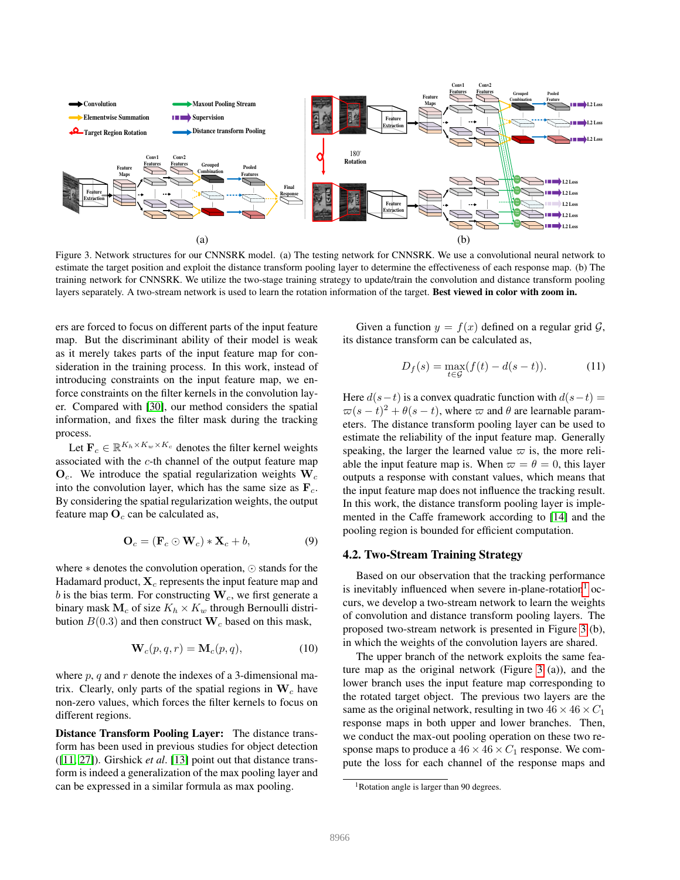

<span id="page-4-0"></span>Figure 3. Network structures for our CNNSRK model. (a) The testing network for CNNSRK. We use a convolutional neural network to estimate the target position and exploit the distance transform pooling layer to determine the effectiveness of each response map. (b) The training network for CNNSRK. We utilize the two-stage training strategy to update/train the convolution and distance transform pooling layers separately. A two-stream network is used to learn the rotation information of the target. Best viewed in color with zoom in.

ers are forced to focus on different parts of the input feature map. But the discriminant ability of their model is weak as it merely takes parts of the input feature map for consideration in the training process. In this work, instead of introducing constraints on the input feature map, we enforce constraints on the filter kernels in the convolution layer. Compared with [\[30\]](#page-8-17), our method considers the spatial information, and fixes the filter mask during the tracking process.

Let  $\mathbf{F}_c \in \mathbb{R}^{K_h \times K_w \times K_c}$  denotes the filter kernel weights associated with the c-th channel of the output feature map  $\mathbf{O}_c$ . We introduce the spatial regularization weights  $\mathbf{W}_c$ into the convolution layer, which has the same size as  $\mathbf{F}_c$ . By considering the spatial regularization weights, the output feature map  $O<sub>c</sub>$  can be calculated as,

$$
\mathbf{O}_c = (\mathbf{F}_c \odot \mathbf{W}_c) * \mathbf{X}_c + b,\tag{9}
$$

where ∗ denotes the convolution operation, ⊙ stands for the Hadamard product,  $\mathbf{X}_c$  represents the input feature map and b is the bias term. For constructing  $W_c$ , we first generate a binary mask  $M_c$  of size  $K_h \times K_w$  through Bernoulli distribution  $B(0.3)$  and then construct  $W_c$  based on this mask,

$$
\mathbf{W}_c(p,q,r) = \mathbf{M}_c(p,q),\tag{10}
$$

where  $p$ ,  $q$  and  $r$  denote the indexes of a 3-dimensional matrix. Clearly, only parts of the spatial regions in  $W_c$  have non-zero values, which forces the filter kernels to focus on different regions.

Distance Transform Pooling Layer: The distance transform has been used in previous studies for object detection ([\[11,](#page-8-18) [27\]](#page-8-19)). Girshick *et al*. [\[13\]](#page-8-20) point out that distance transform is indeed a generalization of the max pooling layer and can be expressed in a similar formula as max pooling.

Given a function  $y = f(x)$  defined on a regular grid  $\mathcal{G}$ , its distance transform can be calculated as,

$$
D_f(s) = \max_{t \in \mathcal{G}} (f(t) - d(s - t)).
$$
 (11)

Here  $d(s-t)$  is a convex quadratic function with  $d(s-t)$  =  $\varpi(s-t)^2 + \theta(s-t)$ , where  $\varpi$  and  $\theta$  are learnable parameters. The distance transform pooling layer can be used to estimate the reliability of the input feature map. Generally speaking, the larger the learned value  $\varpi$  is, the more reliable the input feature map is. When  $\varpi = \theta = 0$ , this layer outputs a response with constant values, which means that the input feature map does not influence the tracking result. In this work, the distance transform pooling layer is implemented in the Caffe framework according to [\[14\]](#page-8-21) and the pooling region is bounded for efficient computation.

## 4.2. Two-Stream Training Strategy

Based on our observation that the tracking performance is inevitably influenced when severe in-plane-rotation<sup>[1](#page-4-1)</sup> occurs, we develop a two-stream network to learn the weights of convolution and distance transform pooling layers. The proposed two-stream network is presented in Figure [3](#page-4-0) (b), in which the weights of the convolution layers are shared.

The upper branch of the network exploits the same feature map as the original network (Figure [3](#page-4-0) (a)), and the lower branch uses the input feature map corresponding to the rotated target object. The previous two layers are the same as the original network, resulting in two  $46 \times 46 \times C_1$ response maps in both upper and lower branches. Then, we conduct the max-out pooling operation on these two response maps to produce a  $46 \times 46 \times C_1$  response. We compute the loss for each channel of the response maps and

<span id="page-4-1"></span><sup>&</sup>lt;sup>1</sup>Rotation angle is larger than 90 degrees.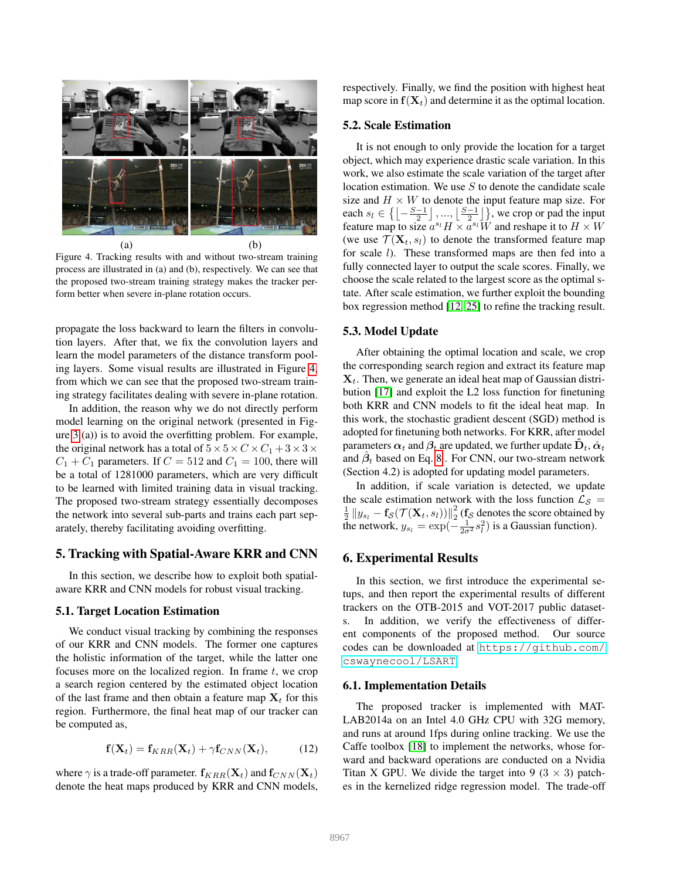

<span id="page-5-0"></span>Figure 4. Tracking results with and without two-stream training process are illustrated in (a) and (b), respectively. We can see that the proposed two-stream training strategy makes the tracker perform better when severe in-plane rotation occurs.

propagate the loss backward to learn the filters in convolution layers. After that, we fix the convolution layers and learn the model parameters of the distance transform pooling layers. Some visual results are illustrated in Figure [4,](#page-5-0) from which we can see that the proposed two-stream training strategy facilitates dealing with severe in-plane rotation.

In addition, the reason why we do not directly perform model learning on the original network (presented in Figure [3](#page-4-0) (a)) is to avoid the overfitting problem. For example, the original network has a total of  $5 \times 5 \times C \times C_1 + 3 \times 3 \times C_2$  $C_1 + C_1$  parameters. If  $C = 512$  and  $C_1 = 100$ , there will be a total of 1281000 parameters, which are very difficult to be learned with limited training data in visual tracking. The proposed two-stream strategy essentially decomposes the network into several sub-parts and trains each part separately, thereby facilitating avoiding overfitting.

## 5. Tracking with Spatial-Aware KRR and CNN

In this section, we describe how to exploit both spatialaware KRR and CNN models for robust visual tracking.

#### 5.1. Target Location Estimation

We conduct visual tracking by combining the responses of our KRR and CNN models. The former one captures the holistic information of the target, while the latter one focuses more on the localized region. In frame  $t$ , we crop a search region centered by the estimated object location of the last frame and then obtain a feature map  $X_t$  for this region. Furthermore, the final heat map of our tracker can be computed as,

$$
\mathbf{f}(\mathbf{X}_t) = \mathbf{f}_{KRR}(\mathbf{X}_t) + \gamma \mathbf{f}_{CNN}(\mathbf{X}_t), \quad (12)
$$

where  $\gamma$  is a trade-off parameter.  $f_{KRR}(\mathbf{X}_t)$  and  $f_{CNN}(\mathbf{X}_t)$ denote the heat maps produced by KRR and CNN models, respectively. Finally, we find the position with highest heat map score in  $f(X_t)$  and determine it as the optimal location.

#### 5.2. Scale Estimation

It is not enough to only provide the location for a target object, which may experience drastic scale variation. In this work, we also estimate the scale variation of the target after location estimation. We use  $S$  to denote the candidate scale size and  $H \times W$  to denote the input feature map size. For each  $s_l \in \left\{ \left\lfloor -\frac{S-1}{2} \right\rfloor, \dots, \left\lfloor \frac{S-1}{2} \right\rfloor \right\}$ , we crop or pad the input feature map to size  $a^{s}H \times a^{s}W$  and reshape it to  $H \times W$ (we use  $\mathcal{T}(\mathbf{X}_t, s_t)$  to denote the transformed feature map for scale *l*). These transformed maps are then fed into a fully connected layer to output the scale scores. Finally, we choose the scale related to the largest score as the optimal state. After scale estimation, we further exploit the bounding box regression method [\[12,](#page-8-22) [25\]](#page-8-1) to refine the tracking result.

#### 5.3. Model Update

After obtaining the optimal location and scale, we crop the corresponding search region and extract its feature map  $\mathbf{X}_t$ . Then, we generate an ideal heat map of Gaussian distribution [\[17\]](#page-8-3) and exploit the L2 loss function for finetuning both KRR and CNN models to fit the ideal heat map. In this work, the stochastic gradient descent (SGD) method is adopted for finetuning both networks. For KRR, after model parameters  $\alpha_t$  and  $\beta_t$  are updated, we further update  $\dot{\mathbf{D}}_t$ ,  $\hat{\alpha}_t$ and  $\hat{\beta}_t$  based on Eq. [8](#page-3-1). For CNN, our two-stream network (Section 4.2) is adopted for updating model parameters.

In addition, if scale variation is detected, we update the scale estimation network with the loss function  $\mathcal{L}_{\mathcal{S}} =$  $\frac{1}{2}\left\|y_{s_l} - \mathbf{f}_{\mathcal{S}}(\mathcal{T}(\mathbf{X}_t,s_l))\right\|_2^2$  $\frac{2}{2}$  (f<sub>S</sub> denotes the score obtained by the network,  $y_{s_l} = \exp(-\frac{1}{2\sigma^2} s_l^2)$  is a Gaussian function).

## 6. Experimental Results

In this section, we first introduce the experimental setups, and then report the experimental results of different trackers on the OTB-2015 and VOT-2017 public datasets. In addition, we verify the effectiveness of different components of the proposed method. Our source codes can be downloaded at [https://github.com/](https://github.com/cswaynecool/LSART) [cswaynecool/LSART](https://github.com/cswaynecool/LSART).

#### 6.1. Implementation Details

The proposed tracker is implemented with MAT-LAB2014a on an Intel 4.0 GHz CPU with 32G memory, and runs at around 1fps during online tracking. We use the Caffe toolbox [\[18\]](#page-8-23) to implement the networks, whose forward and backward operations are conducted on a Nvidia Titan X GPU. We divide the target into 9 (3  $\times$  3) patches in the kernelized ridge regression model. The trade-off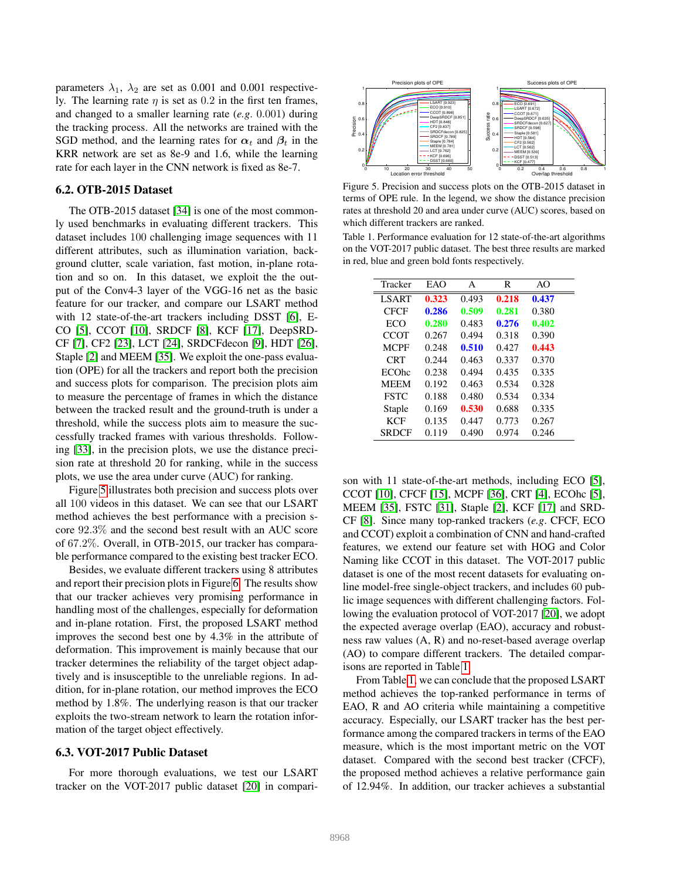parameters  $\lambda_1$ ,  $\lambda_2$  are set as 0.001 and 0.001 respectively. The learning rate  $\eta$  is set as 0.2 in the first ten frames, and changed to a smaller learning rate (*e.g*. 0.001) during the tracking process. All the networks are trained with the SGD method, and the learning rates for  $\alpha_t$  and  $\beta_t$  in the KRR network are set as 8e-9 and 1.6, while the learning rate for each layer in the CNN network is fixed as 8e-7.

#### 6.2. OTB-2015 Dataset

The OTB-2015 dataset [\[34\]](#page-8-24) is one of the most commonly used benchmarks in evaluating different trackers. This dataset includes 100 challenging image sequences with 11 different attributes, such as illumination variation, background clutter, scale variation, fast motion, in-plane rotation and so on. In this dataset, we exploit the the output of the Conv4-3 layer of the VGG-16 net as the basic feature for our tracker, and compare our LSART method with 12 state-of-the-art trackers including DSST [\[6\]](#page-8-25), E-CO [\[5\]](#page-8-26), CCOT [\[10\]](#page-8-10), SRDCF [\[8\]](#page-8-8), KCF [\[17\]](#page-8-3), DeepSRD-CF [\[7\]](#page-8-27), CF2 [\[23\]](#page-8-6), LCT [\[24\]](#page-8-28), SRDCFdecon [\[9\]](#page-8-9), HDT [\[26\]](#page-8-7), Staple [\[2\]](#page-8-29) and MEEM [\[35\]](#page-8-30). We exploit the one-pass evaluation (OPE) for all the trackers and report both the precision and success plots for comparison. The precision plots aim to measure the percentage of frames in which the distance between the tracked result and the ground-truth is under a threshold, while the success plots aim to measure the successfully tracked frames with various thresholds. Following [\[33\]](#page-8-31), in the precision plots, we use the distance precision rate at threshold 20 for ranking, while in the success plots, we use the area under curve (AUC) for ranking.

Figure [5](#page-6-0) illustrates both precision and success plots over all 100 videos in this dataset. We can see that our LSART method achieves the best performance with a precision score 92.3% and the second best result with an AUC score of 67.2%. Overall, in OTB-2015, our tracker has comparable performance compared to the existing best tracker ECO.

Besides, we evaluate different trackers using 8 attributes and report their precision plots in Figure [6.](#page-7-0) The results show that our tracker achieves very promising performance in handling most of the challenges, especially for deformation and in-plane rotation. First, the proposed LSART method improves the second best one by 4.3% in the attribute of deformation. This improvement is mainly because that our tracker determines the reliability of the target object adaptively and is insusceptible to the unreliable regions. In addition, for in-plane rotation, our method improves the ECO method by 1.8%. The underlying reason is that our tracker exploits the two-stream network to learn the rotation information of the target object effectively.

#### 6.3. VOT-2017 Public Dataset

For more thorough evaluations, we test our LSART tracker on the VOT-2017 public dataset [\[20\]](#page-8-32) in compari-



<span id="page-6-0"></span>Figure 5. Precision and success plots on the OTB-2015 dataset in terms of OPE rule. In the legend, we show the distance precision rates at threshold 20 and area under curve (AUC) scores, based on which different trackers are ranked.

<span id="page-6-1"></span>Table 1. Performance evaluation for 12 state-of-the-art algorithms on the VOT-2017 public dataset. The best three results are marked in red, blue and green bold fonts respectively.

| Tracker      | EAO   | A     | R     | AO    |  |
|--------------|-------|-------|-------|-------|--|
| LSART        | 0.323 | 0.493 | 0.218 | 0.437 |  |
| <b>CFCF</b>  | 0.286 | 0.509 | 0.281 | 0.380 |  |
| ECO          | 0.280 | 0.483 | 0.276 | 0.402 |  |
| CCOT         | 0.267 | 0.494 | 0.318 | 0.390 |  |
| <b>MCPF</b>  | 0.248 | 0.510 | 0.427 | 0.443 |  |
| <b>CRT</b>   | 0.244 | 0.463 | 0.337 | 0.370 |  |
| <b>ECOhc</b> | 0.238 | 0.494 | 0.435 | 0.335 |  |
| <b>MEEM</b>  | 0.192 | 0.463 | 0.534 | 0.328 |  |
| <b>FSTC</b>  | 0.188 | 0.480 | 0.534 | 0.334 |  |
| Staple       | 0.169 | 0.530 | 0.688 | 0.335 |  |
| KCF          | 0.135 | 0.447 | 0.773 | 0.267 |  |
| <b>SRDCF</b> | 0.119 | 0.490 | 0.974 | 0.246 |  |
|              |       |       |       |       |  |

son with 11 state-of-the-art methods, including ECO [\[5\]](#page-8-26), CCOT [\[10\]](#page-8-10), CFCF [\[15\]](#page-8-33), MCPF [\[36\]](#page-8-34), CRT [\[4\]](#page-8-35), ECOhc [\[5\]](#page-8-26), MEEM [\[35\]](#page-8-30), FSTC [\[31\]](#page-8-0), Staple [\[2\]](#page-8-29), KCF [\[17\]](#page-8-3) and SRD-CF [\[8\]](#page-8-8). Since many top-ranked trackers (*e.g*. CFCF, ECO and CCOT) exploit a combination of CNN and hand-crafted features, we extend our feature set with HOG and Color Naming like CCOT in this dataset. The VOT-2017 public dataset is one of the most recent datasets for evaluating online model-free single-object trackers, and includes 60 public image sequences with different challenging factors. Following the evaluation protocol of VOT-2017 [\[20\]](#page-8-32), we adopt the expected average overlap (EAO), accuracy and robustness raw values (A, R) and no-reset-based average overlap (AO) to compare different trackers. The detailed comparisons are reported in Table [1.](#page-6-1)

From Table [1,](#page-6-1) we can conclude that the proposed LSART method achieves the top-ranked performance in terms of EAO, R and AO criteria while maintaining a competitive accuracy. Especially, our LSART tracker has the best performance among the compared trackers in terms of the EAO measure, which is the most important metric on the VOT dataset. Compared with the second best tracker (CFCF), the proposed method achieves a relative performance gain of 12.94%. In addition, our tracker achieves a substantial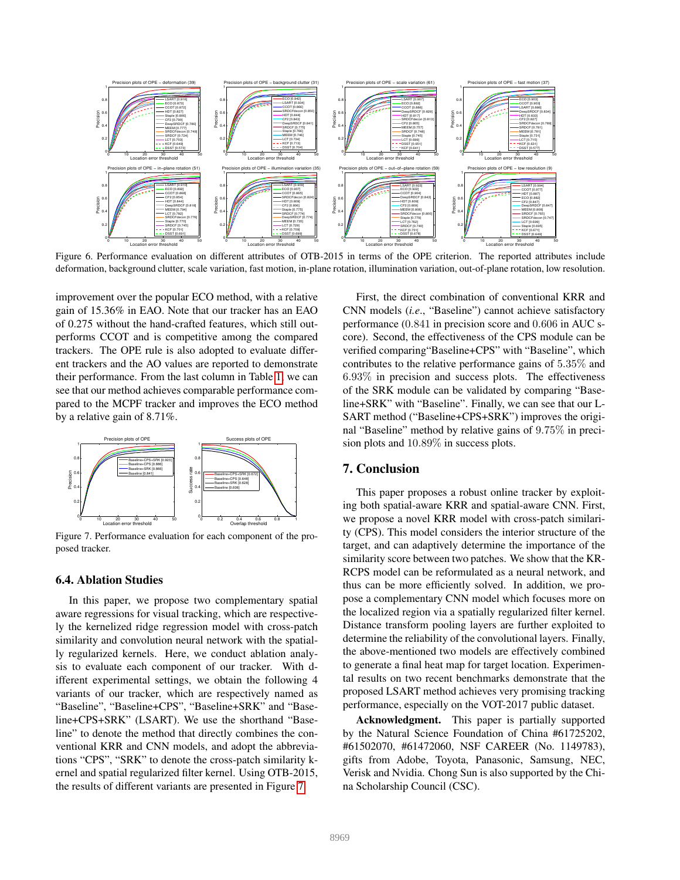

<span id="page-7-0"></span>Figure 6. Performance evaluation on different attributes of OTB-2015 in terms of the OPE criterion. The reported attributes include deformation, background clutter, scale variation, fast motion, in-plane rotation, illumination variation, out-of-plane rotation, low resolution.

improvement over the popular ECO method, with a relative gain of 15.36% in EAO. Note that our tracker has an EAO of 0.275 without the hand-crafted features, which still outperforms CCOT and is competitive among the compared trackers. The OPE rule is also adopted to evaluate different trackers and the AO values are reported to demonstrate their performance. From the last column in Table [1,](#page-6-1) we can see that our method achieves comparable performance compared to the MCPF tracker and improves the ECO method by a relative gain of 8.71%.



<span id="page-7-1"></span>Figure 7. Performance evaluation for each component of the proposed tracker.

#### 6.4. Ablation Studies

In this paper, we propose two complementary spatial aware regressions for visual tracking, which are respectively the kernelized ridge regression model with cross-patch similarity and convolution neural network with the spatially regularized kernels. Here, we conduct ablation analysis to evaluate each component of our tracker. With different experimental settings, we obtain the following 4 variants of our tracker, which are respectively named as "Baseline", "Baseline+CPS", "Baseline+SRK" and "Baseline+CPS+SRK" (LSART). We use the shorthand "Baseline" to denote the method that directly combines the conventional KRR and CNN models, and adopt the abbreviations "CPS", "SRK" to denote the cross-patch similarity kernel and spatial regularized filter kernel. Using OTB-2015, the results of different variants are presented in Figure [7.](#page-7-1)

First, the direct combination of conventional KRR and CNN models (*i.e*., "Baseline") cannot achieve satisfactory performance (0.841 in precision score and 0.606 in AUC score). Second, the effectiveness of the CPS module can be verified comparing"Baseline+CPS" with "Baseline", which contributes to the relative performance gains of 5.35% and 6.93% in precision and success plots. The effectiveness of the SRK module can be validated by comparing "Baseline+SRK" with "Baseline". Finally, we can see that our L-SART method ("Baseline+CPS+SRK") improves the original "Baseline" method by relative gains of 9.75% in precision plots and 10.89% in success plots.

# 7. Conclusion

This paper proposes a robust online tracker by exploiting both spatial-aware KRR and spatial-aware CNN. First, we propose a novel KRR model with cross-patch similarity (CPS). This model considers the interior structure of the target, and can adaptively determine the importance of the similarity score between two patches. We show that the KR-RCPS model can be reformulated as a neural network, and thus can be more efficiently solved. In addition, we propose a complementary CNN model which focuses more on the localized region via a spatially regularized filter kernel. Distance transform pooling layers are further exploited to determine the reliability of the convolutional layers. Finally, the above-mentioned two models are effectively combined to generate a final heat map for target location. Experimental results on two recent benchmarks demonstrate that the proposed LSART method achieves very promising tracking performance, especially on the VOT-2017 public dataset.

Acknowledgment. This paper is partially supported by the Natural Science Foundation of China #61725202, #61502070, #61472060, NSF CAREER (No. 1149783), gifts from Adobe, Toyota, Panasonic, Samsung, NEC, Verisk and Nvidia. Chong Sun is also supported by the China Scholarship Council (CSC).